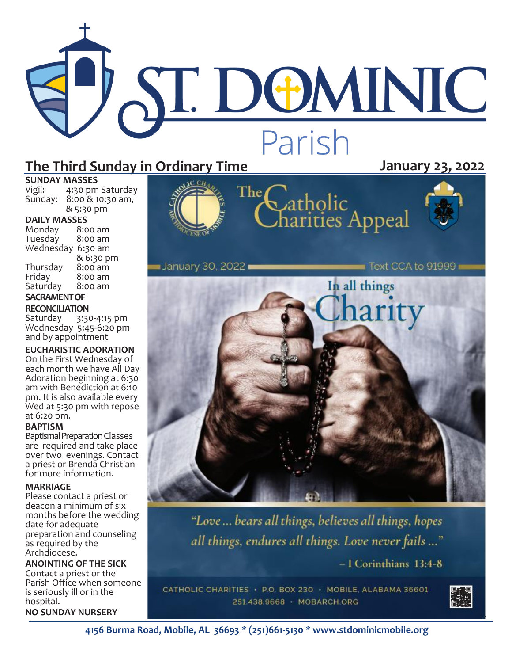# ST. DOMINIC Parish

The

# **The Third Sunday in Ordinary Time January 23, 2022**

# **SUNDAY MASSES**<br>Vigil: 4:30 pm

4:30 pm Saturday Sunday: 8:00 & 10:30 am, & 5:30 pm

**DAILY MASSES** 

| Monday    | 8:00 am   |  |
|-----------|-----------|--|
| Tuesday   | 8:00 am   |  |
| Wednesday | 6:30 am   |  |
|           | & 6:30 pm |  |
| Thursday  | 8:00 am   |  |
| Friday    | 8:00 am   |  |
| Saturday  | 8:00 am   |  |
| CACDANAEM |           |  |

# **SACRAMENT OF**

# **RECONCILIATION**<br>Saturday 3:30

3:30-4:15 pm Wednesday 5:45-6:20 pm and by appointment

## **EUCHARISTIC ADORATION**

On the First Wednesday of each month we have All Day Adoration beginning at 6:30 am with Benediction at 6:10 pm. It is also available every Wed at 5:30 pm with repose at 6:20 pm.

#### **BAPTISM**

Baptismal Preparation Classes are required and take place over two evenings. Contact a priest or Brenda Christian for more information.

#### **MARRIAGE**

Please contact a priest or deacon a minimum of six months before the wedding date for adequate preparation and counseling as required by the Archdiocese.

**ANOINTING OF THE SICK** Contact a priest or the Parish Office when someone is seriously ill or in the hospital.

**NO SUNDAY NURSERY**



Catholic<br>Charities Appeal



 $\blacksquare$  Text CCA to 91999 ∎ January 30, 2022∎ In all things harity

> "Love ... bears all things, believes all things, hopes all things, endures all things. Love never fails ..."

> > $-$  I Corinthians 13:4-8

CATHOLIC CHARITIES · P.O. BOX 230 · MOBILE, ALABAMA 36601 251.438.9668 · MOBARCH.ORG

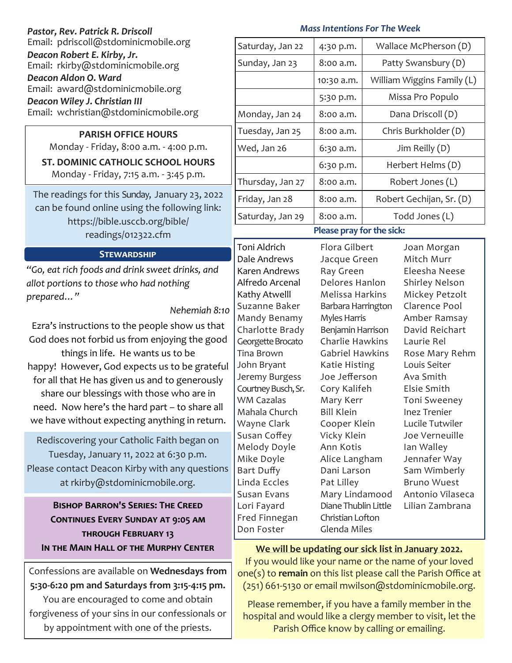## *Pastor, Rev. Patrick R. Driscoll* Email: pdriscoll@stdominicmobile.org *Deacon Robert E. Kirby, Jr.* Email: rkirby@stdominicmobile.org *Deacon Aldon O. Ward* Email: award@stdominicmobile.org *Deacon Wiley J. Christian III*

Email: wchristian@stdominicmobile.org

# **PARISH OFFICE HOURS**

Monday - Friday, 8:00 a.m. - 4:00 p.m.

# **ST. DOMINIC CATHOLIC SCHOOL HOURS**

Monday - Friday, 7:15 a.m. - 3:45 p.m.

The readings for this Sunday, January 23, 2022 can be found online using the following link: https://bible.usccb.org/bible/ readings/012322.cfm

#### **Stewardship**

*"Go, eat rich foods and drink sweet drinks, and allot portions to those who had nothing prepared…"* 

#### *Nehemiah 8:10*

Ezra's instructions to the people show us that God does not forbid us from enjoying the good things in life. He wants us to be happy! However, God expects us to be grateful for all that He has given us and to generously share our blessings with those who are in need. Now here's the hard part – to share all we have without expecting anything in return.

Rediscovering your Catholic Faith began on Tuesday, January 11, 2022 at 6:30 p.m. Please contact Deacon Kirby with any questions at rkirby@stdominicmobile.org.

# **Bishop Barron's Series: The Creed Continues Every Sunday at 9:05 am through February 13**

Confessions are available on **Wednesdays from 5:30-6:20 pm and Saturdays from 3:15-4:15 pm.**  You are encouraged to come and obtain forgiveness of your sins in our confessionals or by appointment with one of the priests.

# *Mass Intentions For The Week*

| Saturday, Jan 22            | 4:30 p.m.  | Wallace McPherson (D)      |
|-----------------------------|------------|----------------------------|
| Sunday, Jan 23              | 8:00 a.m.  | Patty Swansbury (D)        |
|                             | 10:30 a.m. | William Wiggins Family (L) |
|                             | 5:30 p.m.  | Missa Pro Populo           |
| Monday, Jan 24              | 8:00 a.m.  | Dana Driscoll (D)          |
| Tuesday, Jan 25             | 8:00 a.m.  | Chris Burkholder (D)       |
| Wed, Jan 26                 | 6:30 a.m.  | Jim Reilly $(D)$           |
|                             | 6:30 p.m.  | Herbert Helms (D)          |
| Thursday, Jan 27            | 8:00 a.m.  | Robert Jones (L)           |
| Friday, Jan 28              | 8:00 a.m.  | Robert Gechijan, Sr. (D)   |
| Saturday, Jan 29            | 8:00 a.m.  | Todd Jones (L)             |
| Dlongo provi for the ciclos |            |                            |

# **Please pray for the sick:**

Toni Aldrich Dale Andrews Karen Andrews Alfredo Arcenal Kathy Atwelll Suzanne Baker Mandy Benamy Charlotte Brady Georgette Brocato Tina Brown John Bryant Jeremy Burgess Courtney Busch, Sr. WM Cazalas Mahala Church Wayne Clark Susan Coffey Melody Doyle Mike Doyle Bart Duffy Linda Eccles Susan Evans Lori Fayard Fred Finnegan Don Foster

Flora Gilbert Jacque Green Ray Green Delores Hanlon Melissa Harkins Barbara Harrington Myles Harris Benjamin Harrison Charlie Hawkins Gabriel Hawkins Katie Histing Joe Jefferson Cory Kalifeh Mary Kerr Bill Klein Cooper Klein Vicky Klein Ann Kotis Alice Langham Dani Larson Pat Lilley Mary Lindamood Diane Thublin Little Christian Lofton Glenda Miles

Joan Morgan Mitch Murr Eleesha Neese Shirley Nelson Mickey Petzolt Clarence Pool Amber Ramsay David Reichart Laurie Rel Rose Mary Rehm Louis Seiter Ava Smith Elsie Smith Toni Sweeney Inez Trenier Lucile Tutwiler Joe Verneuille Ian Walley Jennafer Way Sam Wimberly Bruno Wuest Antonio Vilaseca Lilian Zambrana

## IN THE MAIN HALL OF THE MURPHY CENTER We will be updating our sick list in January 2022.

If you would like your name or the name of your loved one(s) to **remain** on this list please call the Parish Office at (251) 661-5130 or email mwilson@stdominicmobile.org.

Please remember, if you have a family member in the hospital and would like a clergy member to visit, let the Parish Office know by calling or emailing.